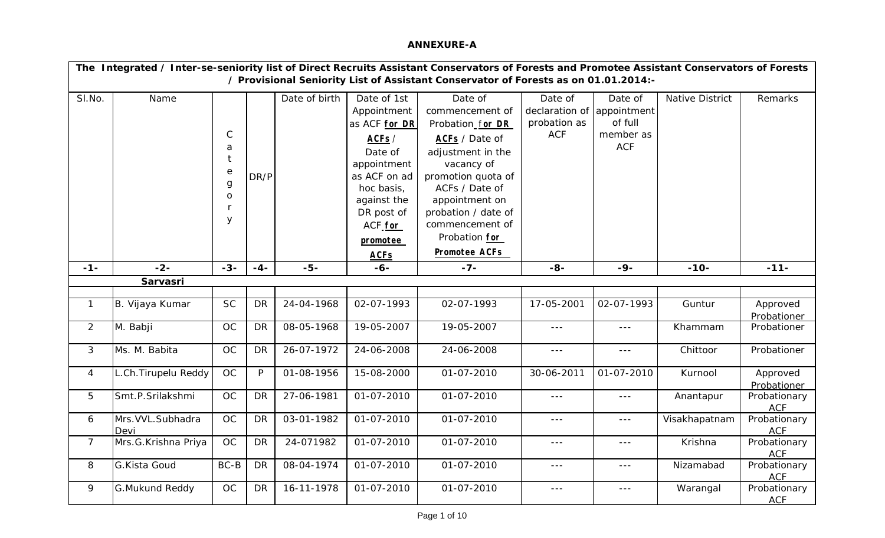## **ANNEXURE-A**

|                | The Integrated / Inter-se-seniority list of Direct Recruits Assistant Conservators of Forests and Promotee Assistant Conservators of Forests |                                                                             |           |               |                                                                                                                                                                                             |                                                                                                                                                                                                                                                  |                                                                     |                                               |                 |                            |  |  |  |
|----------------|----------------------------------------------------------------------------------------------------------------------------------------------|-----------------------------------------------------------------------------|-----------|---------------|---------------------------------------------------------------------------------------------------------------------------------------------------------------------------------------------|--------------------------------------------------------------------------------------------------------------------------------------------------------------------------------------------------------------------------------------------------|---------------------------------------------------------------------|-----------------------------------------------|-----------------|----------------------------|--|--|--|
|                | / Provisional Seniority List of Assistant Conservator of Forests as on 01.01.2014:-                                                          |                                                                             |           |               |                                                                                                                                                                                             |                                                                                                                                                                                                                                                  |                                                                     |                                               |                 |                            |  |  |  |
| SI.No.         | Name                                                                                                                                         | $\mathsf C$<br>a<br>$\mathop{\rm e}\nolimits$<br>g<br>$\mathbf O$<br>r<br>У | DR/P      | Date of birth | Date of 1st<br>Appointment<br>as ACF for DR<br>ACFs /<br>Date of<br>appointment<br>as ACF on ad<br>hoc basis,<br>against the<br>DR post of<br>ACF <sub>for</sub><br>promotee<br><b>ACFs</b> | Date of<br>commencement of<br>Probation_for DR<br>ACFs / Date of<br>adjustment in the<br>vacancy of<br>promotion quota of<br>ACFs / Date of<br>appointment on<br>probation / date of<br>commencement of<br>Probation for<br><b>Promotee ACFs</b> | Date of<br>declaration of appointment<br>probation as<br><b>ACF</b> | Date of<br>of full<br>member as<br><b>ACF</b> | Native District | Remarks                    |  |  |  |
| $-1-$          | $-2-$                                                                                                                                        | $-3-$                                                                       | $-4-$     | $-5-$         | $-6-$                                                                                                                                                                                       | $-7-$                                                                                                                                                                                                                                            | $-8-$                                                               | $-9-$                                         | $-10-$          | $-11-$                     |  |  |  |
|                | Sarvasri                                                                                                                                     |                                                                             |           |               |                                                                                                                                                                                             |                                                                                                                                                                                                                                                  |                                                                     |                                               |                 |                            |  |  |  |
|                |                                                                                                                                              |                                                                             |           |               |                                                                                                                                                                                             |                                                                                                                                                                                                                                                  |                                                                     |                                               |                 |                            |  |  |  |
| $\mathbf{1}$   | B. Vijaya Kumar                                                                                                                              | <b>SC</b>                                                                   | <b>DR</b> | 24-04-1968    | 02-07-1993                                                                                                                                                                                  | 02-07-1993                                                                                                                                                                                                                                       | 17-05-2001                                                          | 02-07-1993                                    | Guntur          | Approved<br>Probationer    |  |  |  |
| $\overline{2}$ | M. Babji                                                                                                                                     | OC                                                                          | <b>DR</b> | 08-05-1968    | 19-05-2007                                                                                                                                                                                  | 19-05-2007                                                                                                                                                                                                                                       | $\sim$ $\sim$ $\sim$                                                | $- - -$                                       | Khammam         | Probationer                |  |  |  |
| 3              | Ms. M. Babita                                                                                                                                | <b>OC</b>                                                                   | <b>DR</b> | 26-07-1972    | 24-06-2008                                                                                                                                                                                  | 24-06-2008                                                                                                                                                                                                                                       | $\omega = \omega$                                                   | $\frac{1}{2}$                                 | Chittoor        | Probationer                |  |  |  |
| $\overline{4}$ | L.Ch.Tirupelu Reddy                                                                                                                          | OC                                                                          | P         | 01-08-1956    | 15-08-2000                                                                                                                                                                                  | 01-07-2010                                                                                                                                                                                                                                       | 30-06-2011                                                          | 01-07-2010                                    | Kurnool         | Approved<br>Probationer    |  |  |  |
| 5              | Smt.P.Srilakshmi                                                                                                                             | <b>OC</b>                                                                   | <b>DR</b> | 27-06-1981    | 01-07-2010                                                                                                                                                                                  | 01-07-2010                                                                                                                                                                                                                                       | $\sim$ $\sim$ $\sim$                                                | $- - -$                                       | Anantapur       | Probationary<br><b>ACF</b> |  |  |  |
| 6              | Mrs. VVL. Subhadra<br>Devi                                                                                                                   | OC                                                                          | <b>DR</b> | 03-01-1982    | 01-07-2010                                                                                                                                                                                  | 01-07-2010                                                                                                                                                                                                                                       | $\sim$ $\sim$ $\sim$                                                | $\sim$ $\sim$ $\sim$                          | Visakhapatnam   | Probationary<br><b>ACF</b> |  |  |  |
| $\overline{7}$ | Mrs.G.Krishna Priya                                                                                                                          | <b>OC</b>                                                                   | <b>DR</b> | 24-071982     | 01-07-2010                                                                                                                                                                                  | 01-07-2010                                                                                                                                                                                                                                       | $- - -$                                                             | $- - -$                                       | Krishna         | Probationary<br><b>ACF</b> |  |  |  |
| 8              | G.Kista Goud                                                                                                                                 | $BC-B$                                                                      | <b>DR</b> | 08-04-1974    | 01-07-2010                                                                                                                                                                                  | 01-07-2010                                                                                                                                                                                                                                       | $---$                                                               | $\sim$ $\sim$ $\sim$                          | Nizamabad       | Probationary<br><b>ACF</b> |  |  |  |
| 9              | <b>G.Mukund Reddy</b>                                                                                                                        | OC                                                                          | <b>DR</b> | 16-11-1978    | 01-07-2010                                                                                                                                                                                  | 01-07-2010                                                                                                                                                                                                                                       | $- - -$                                                             | $- - -$                                       | Warangal        | Probationary<br><b>ACF</b> |  |  |  |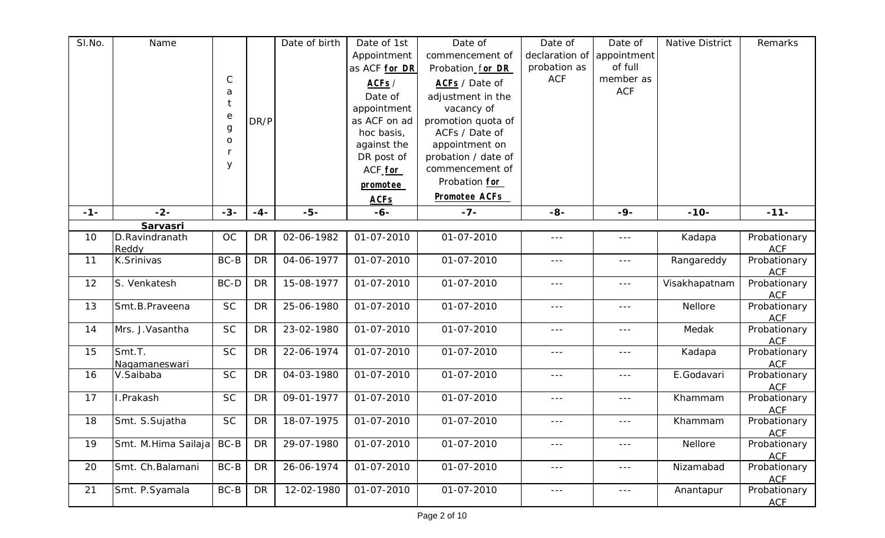| SI.No. | Name                       |                  |           | Date of birth | Date of 1st          | Date of              | Date of                 | Date of              | Native District | Remarks                    |
|--------|----------------------------|------------------|-----------|---------------|----------------------|----------------------|-------------------------|----------------------|-----------------|----------------------------|
|        |                            |                  |           |               | Appointment          | commencement of      | declaration of          | appointment          |                 |                            |
|        |                            |                  |           |               | as ACF for DR        | Probation for DR     | probation as            | of full              |                 |                            |
|        |                            | $\mathsf{C}$     |           |               | ACFs /               | ACFs / Date of       | <b>ACF</b>              | member as            |                 |                            |
|        |                            | a                |           |               | Date of              | adjustment in the    |                         | <b>ACF</b>           |                 |                            |
|        |                            | t                |           |               | appointment          | vacancy of           |                         |                      |                 |                            |
|        |                            | $\rm e$          | DR/P      |               | as ACF on ad         | promotion quota of   |                         |                      |                 |                            |
|        |                            | $\boldsymbol{g}$ |           |               | hoc basis,           | ACFs / Date of       |                         |                      |                 |                            |
|        |                            | ${\mathsf o}$    |           |               | against the          | appointment on       |                         |                      |                 |                            |
|        |                            |                  |           |               | DR post of           | probation / date of  |                         |                      |                 |                            |
|        |                            | У                |           |               | ACF for              | commencement of      |                         |                      |                 |                            |
|        |                            |                  |           |               | promotee             | Probation for        |                         |                      |                 |                            |
|        |                            |                  |           |               |                      | <b>Promotee ACFs</b> |                         |                      |                 |                            |
| $-1-$  | $-2-$                      | $-3-$            | $-4-$     | $-5-$         | <b>ACFs</b><br>$-6-$ | $-7-$                | $-8-$                   | $-9-$                | $-10-$          | $-11-$                     |
|        |                            |                  |           |               |                      |                      |                         |                      |                 |                            |
| 10     | Sarvasri<br>D.Ravindranath | OC               | <b>DR</b> | 02-06-1982    | 01-07-2010           | 01-07-2010           | $\sim$ $\sim$ $\sim$    | $---$                | Kadapa          | Probationary               |
|        | Reddy                      |                  |           |               |                      |                      |                         |                      |                 | <b>ACF</b>                 |
| 11     | K.Srinivas                 | $BC-B$           | <b>DR</b> | 04-06-1977    | 01-07-2010           | 01-07-2010           | $- - -$                 | $---$                | Rangareddy      | Probationary               |
|        |                            |                  |           |               |                      |                      |                         |                      |                 | <b>ACF</b>                 |
| 12     | S. Venkatesh               | BC-D             | <b>DR</b> | 15-08-1977    | 01-07-2010           | 01-07-2010           | $---$                   | $\sim$ $\sim$ $\sim$ | Visakhapatnam   | Probationary               |
|        |                            |                  |           |               |                      |                      |                         |                      |                 | <b>ACF</b>                 |
| 13     | Smt.B.Praveena             | <b>SC</b>        | <b>DR</b> | 25-06-1980    | 01-07-2010           | 01-07-2010           | $---$                   | $--$                 | Nellore         | Probationary               |
|        |                            |                  |           |               |                      |                      |                         |                      |                 | <b>ACF</b>                 |
| 14     | Mrs. J. Vasantha           | <b>SC</b>        | <b>DR</b> | 23-02-1980    | 01-07-2010           | 01-07-2010           | $- - -$                 | $- - -$              | Medak           | Probationary<br><b>ACF</b> |
| 15     | Smt.T.                     | <b>SC</b>        | <b>DR</b> | 22-06-1974    | 01-07-2010           | 01-07-2010           | $---$                   | $- - -$              | Kadapa          | Probationary               |
|        | Nagamaneswari              |                  |           |               |                      |                      |                         |                      |                 | <b>ACF</b>                 |
| 16     | V.Saibaba                  | <b>SC</b>        | <b>DR</b> | 04-03-1980    | 01-07-2010           | 01-07-2010           | $\sim$ $\sim$ $\sim$    | $\sim$ $\sim$ $\sim$ | E.Godavari      | Probationary               |
|        |                            |                  |           |               |                      |                      |                         |                      |                 | <b>ACF</b>                 |
| 17     | I.Prakash                  | <b>SC</b>        | <b>DR</b> | 09-01-1977    | 01-07-2010           | 01-07-2010           | ---                     | ---                  | Khammam         | Probationary               |
|        |                            |                  |           |               |                      |                      |                         |                      |                 | <b>ACF</b>                 |
| 18     | Smt. S.Sujatha             | <b>SC</b>        | DR        | 18-07-1975    | 01-07-2010           | 01-07-2010           | $- - -$                 | $\sim$ $\sim$ $\sim$ | Khammam         | Probationary               |
|        |                            |                  |           |               |                      |                      |                         |                      |                 | <b>ACF</b>                 |
| 19     | Smt. M.Hima Sailaja        | $BC-B$           | <b>DR</b> | 29-07-1980    | 01-07-2010           | 01-07-2010           | $\sim$ $\sim$ $\sim$    | $\sim$ $\sim$ $\sim$ | Nellore         | Probationary               |
| 20     | Smt. Ch.Balamani           | $BC-B$           | DR        | 26-06-1974    | 01-07-2010           | 01-07-2010           |                         |                      | Nizamabad       | <b>ACF</b><br>Probationary |
|        |                            |                  |           |               |                      |                      | $---$                   | $\sim$ $ \sim$       |                 | <b>ACF</b>                 |
| 21     | Smt. P.Syamala             | $BC-B$           | <b>DR</b> | 12-02-1980    | 01-07-2010           | 01-07-2010           | $\perp$ $\perp$ $\perp$ | $\sim$ $\sim$ $\sim$ | Anantapur       | Probationary               |
|        |                            |                  |           |               |                      |                      |                         |                      |                 | <b>ACF</b>                 |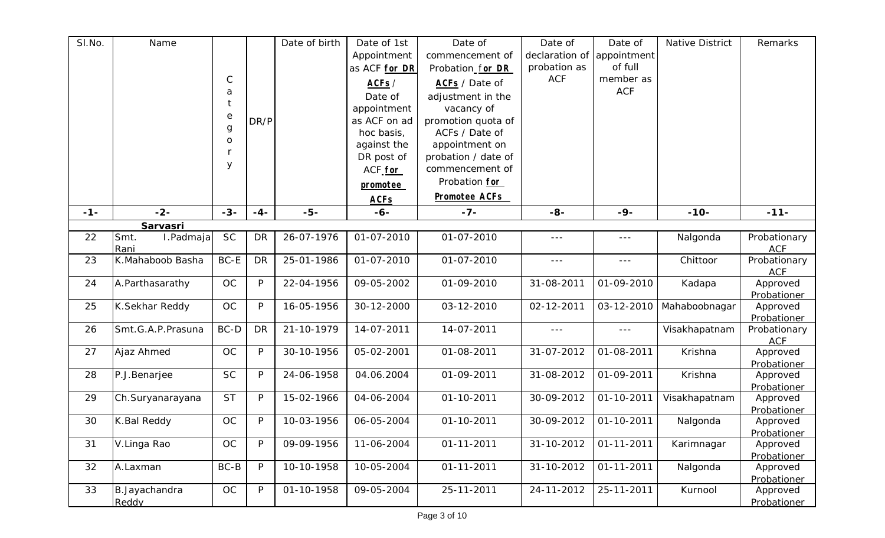| SI.No.<br>Date of birth<br>Name<br>Date of 1st<br>Date of<br>Native District<br>Date of<br>Remarks<br>declaration of<br>Appointment<br>commencement of<br>appointment<br>of full<br>probation as<br>as ACF for DR<br>Probation_for DR<br>$\mathsf C$<br><b>ACF</b><br>member as<br>ACF <sub>S</sub> /<br>ACFs / Date of<br><b>ACF</b><br>a<br>Date of<br>adjustment in the<br>t<br>appointment<br>vacancy of<br>$\rm e$<br>promotion quota of<br>as ACF on ad<br>DR/P<br>$\boldsymbol{g}$<br>hoc basis,<br>ACFs / Date of<br>$\mathsf O$<br>appointment on<br>against the<br>DR post of<br>probation / date of |  |
|----------------------------------------------------------------------------------------------------------------------------------------------------------------------------------------------------------------------------------------------------------------------------------------------------------------------------------------------------------------------------------------------------------------------------------------------------------------------------------------------------------------------------------------------------------------------------------------------------------------|--|
|                                                                                                                                                                                                                                                                                                                                                                                                                                                                                                                                                                                                                |  |
|                                                                                                                                                                                                                                                                                                                                                                                                                                                                                                                                                                                                                |  |
|                                                                                                                                                                                                                                                                                                                                                                                                                                                                                                                                                                                                                |  |
|                                                                                                                                                                                                                                                                                                                                                                                                                                                                                                                                                                                                                |  |
|                                                                                                                                                                                                                                                                                                                                                                                                                                                                                                                                                                                                                |  |
|                                                                                                                                                                                                                                                                                                                                                                                                                                                                                                                                                                                                                |  |
|                                                                                                                                                                                                                                                                                                                                                                                                                                                                                                                                                                                                                |  |
|                                                                                                                                                                                                                                                                                                                                                                                                                                                                                                                                                                                                                |  |
|                                                                                                                                                                                                                                                                                                                                                                                                                                                                                                                                                                                                                |  |
| У                                                                                                                                                                                                                                                                                                                                                                                                                                                                                                                                                                                                              |  |
| ACF for<br>commencement of                                                                                                                                                                                                                                                                                                                                                                                                                                                                                                                                                                                     |  |
| Probation for<br>promotee                                                                                                                                                                                                                                                                                                                                                                                                                                                                                                                                                                                      |  |
| <b>Promotee ACFs</b><br><b>ACFs</b>                                                                                                                                                                                                                                                                                                                                                                                                                                                                                                                                                                            |  |
| $-5-$<br>$-2-$<br>$-3-$<br>$-7-$<br>$-8-$<br>$-9-$<br>$-10-$<br>$-11-$<br>$-1-$<br>$-4-$<br>$-6-$                                                                                                                                                                                                                                                                                                                                                                                                                                                                                                              |  |
| Sarvasri                                                                                                                                                                                                                                                                                                                                                                                                                                                                                                                                                                                                       |  |
| <b>SC</b><br>Smt.<br>I.Padmaja<br><b>DR</b><br>26-07-1976<br>01-07-2010<br>01-07-2010<br>22<br>Nalgonda<br>Probationary<br>$\frac{1}{2}$<br>$\sim$ $\sim$ $\sim$                                                                                                                                                                                                                                                                                                                                                                                                                                               |  |
| <b>ACF</b><br>Rani                                                                                                                                                                                                                                                                                                                                                                                                                                                                                                                                                                                             |  |
| K.Mahaboob Basha<br>BC-E<br>23<br><b>DR</b><br>25-01-1986<br>01-07-2010<br>01-07-2010<br>Chittoor<br>Probationary<br>$\sim$ $\sim$ $\sim$<br>$- - -$                                                                                                                                                                                                                                                                                                                                                                                                                                                           |  |
| <b>ACF</b>                                                                                                                                                                                                                                                                                                                                                                                                                                                                                                                                                                                                     |  |
| 24<br>09-05-2002<br>OC<br>P<br>22-04-1956<br>01-09-2010<br>31-08-2011<br>01-09-2010<br>Approved<br>A.Parthasarathy<br>Kadapa                                                                                                                                                                                                                                                                                                                                                                                                                                                                                   |  |
| Probationer                                                                                                                                                                                                                                                                                                                                                                                                                                                                                                                                                                                                    |  |
| 25<br>K.Sekhar Reddy<br>OC<br>P<br>16-05-1956<br>30-12-2000<br>03-12-2010<br>03-12-2010<br>Mahaboobnagar<br>02-12-2011<br>Approved                                                                                                                                                                                                                                                                                                                                                                                                                                                                             |  |
| Probationer                                                                                                                                                                                                                                                                                                                                                                                                                                                                                                                                                                                                    |  |
| Smt.G.A.P.Prasuna<br>BC-D<br>14-07-2011<br>14-07-2011<br>26<br><b>DR</b><br>21-10-1979<br>Visakhapatnam<br>Probationary<br>$- - -$<br>$\sim$ $\sim$ $\sim$                                                                                                                                                                                                                                                                                                                                                                                                                                                     |  |
| <b>ACF</b>                                                                                                                                                                                                                                                                                                                                                                                                                                                                                                                                                                                                     |  |
| $\mathsf{P}$<br>05-02-2001<br>01-08-2011<br>01-08-2011<br>27<br>Ajaz Ahmed<br>OC<br>30-10-1956<br>31-07-2012<br>Krishna<br>Approved                                                                                                                                                                                                                                                                                                                                                                                                                                                                            |  |
| Probationer                                                                                                                                                                                                                                                                                                                                                                                                                                                                                                                                                                                                    |  |
| 28<br>P.J.Benarjee<br><b>SC</b><br>24-06-1958<br>04.06.2004<br>01-09-2011<br>31-08-2012<br>01-09-2011<br>Krishna<br>P<br>Approved                                                                                                                                                                                                                                                                                                                                                                                                                                                                              |  |
| Probationer<br><b>ST</b><br>29<br>P<br>15-02-1966<br>04-06-2004<br>01-10-2011                                                                                                                                                                                                                                                                                                                                                                                                                                                                                                                                  |  |
| 30-09-2012<br>01-10-2011<br>Ch.Suryanarayana<br>Visakhapatnam<br>Approved                                                                                                                                                                                                                                                                                                                                                                                                                                                                                                                                      |  |
| Probationer<br>OC<br>06-05-2004<br>30<br>P<br>10-03-1956<br>01-10-2011<br>30-09-2012<br>01-10-2011                                                                                                                                                                                                                                                                                                                                                                                                                                                                                                             |  |
| K.Bal Reddy<br>Nalgonda<br>Approved<br>Probationer                                                                                                                                                                                                                                                                                                                                                                                                                                                                                                                                                             |  |
| OC<br>P<br>$01 - 11 - 2011$<br>31<br>09-09-1956<br>11-06-2004<br>$01 - 11 - 2011$<br>31-10-2012<br>V.Linga Rao<br>Karimnagar<br>Approved                                                                                                                                                                                                                                                                                                                                                                                                                                                                       |  |
| Probationer                                                                                                                                                                                                                                                                                                                                                                                                                                                                                                                                                                                                    |  |
| $\overline{0}$ 1-11-2011<br>32<br>$BC-B$<br>P<br>10-10-1958<br>10-05-2004<br>$01 - 11 - 2011$<br>31-10-2012<br>Nalgonda<br>A.Laxman<br>Approved                                                                                                                                                                                                                                                                                                                                                                                                                                                                |  |
| Probationer                                                                                                                                                                                                                                                                                                                                                                                                                                                                                                                                                                                                    |  |
| 33<br>OC<br>P<br>09-05-2004<br>25-11-2011<br>Kurnool<br>B.Jayachandra<br>01-10-1958<br>25-11-2011<br>24-11-2012<br>Approved                                                                                                                                                                                                                                                                                                                                                                                                                                                                                    |  |
| Reddy<br>Probationer                                                                                                                                                                                                                                                                                                                                                                                                                                                                                                                                                                                           |  |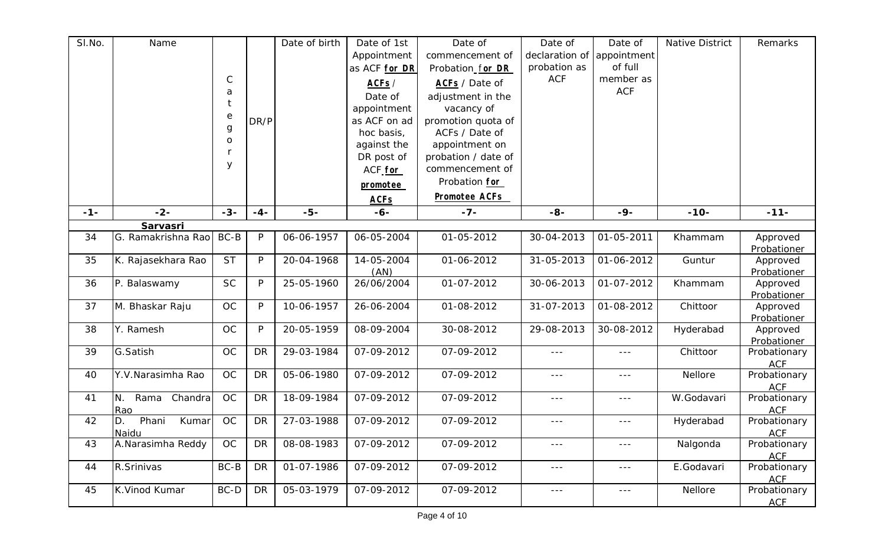| SI.No. | Name                          |                                  |              | Date of birth | Date of 1st        | Date of              | Date of                 | Date of              | <b>Native District</b> | Remarks                    |
|--------|-------------------------------|----------------------------------|--------------|---------------|--------------------|----------------------|-------------------------|----------------------|------------------------|----------------------------|
|        |                               |                                  |              |               | Appointment        | commencement of      | declaration of          | appointment          |                        |                            |
|        |                               |                                  |              |               | as ACF for DR      | Probation for DR     | probation as            | of full              |                        |                            |
|        |                               | $\mathsf C$                      |              |               | ACFs /             | ACFs / Date of       | <b>ACF</b>              | member as            |                        |                            |
|        |                               | a                                |              |               | Date of            | adjustment in the    |                         | <b>ACF</b>           |                        |                            |
|        |                               | t                                |              |               | appointment        | vacancy of           |                         |                      |                        |                            |
|        |                               | $\mathbf{e}% _{t}\mathbf{v}_{t}$ | DR/P         |               | as ACF on ad       | promotion quota of   |                         |                      |                        |                            |
|        |                               | $\boldsymbol{g}$                 |              |               | hoc basis,         | ACFs / Date of       |                         |                      |                        |                            |
|        |                               | ${\mathsf o}$                    |              |               | against the        | appointment on       |                         |                      |                        |                            |
|        |                               |                                  |              |               | DR post of         | probation / date of  |                         |                      |                        |                            |
|        |                               | У                                |              |               | ACF for            | commencement of      |                         |                      |                        |                            |
|        |                               |                                  |              |               |                    | Probation for        |                         |                      |                        |                            |
|        |                               |                                  |              |               | promotee           |                      |                         |                      |                        |                            |
|        |                               |                                  |              |               | <b>ACFs</b>        | <b>Promotee ACFs</b> |                         |                      |                        |                            |
| $-1-$  | $-2-$                         | $-3-$                            | $-4-$        | $-5-$         | $-6-$              | $-7-$                | $-8-$                   | $-9-$                | $-10-$                 | $-11-$                     |
|        | Sarvasri                      |                                  |              |               |                    |                      |                         |                      |                        |                            |
| 34     | G. Ramakrishna Rao            | BC-B                             | $\mathsf{P}$ | 06-06-1957    | 06-05-2004         | 01-05-2012           | 30-04-2013              | 01-05-2011           | Khammam                | Approved                   |
|        |                               |                                  |              |               |                    |                      |                         |                      |                        | Probationer                |
| 35     | K. Rajasekhara Rao            | <b>ST</b>                        | $\mathsf{P}$ | 20-04-1968    | 14-05-2004         | 01-06-2012           | 31-05-2013              | 01-06-2012           | Guntur                 | Approved                   |
| 36     | P. Balaswamy                  | <b>SC</b>                        | P            | 25-05-1960    | (AN)<br>26/06/2004 | 01-07-2012           | 30-06-2013              | 01-07-2012           | Khammam                | Probationer<br>Approved    |
|        |                               |                                  |              |               |                    |                      |                         |                      |                        | Probationer                |
| 37     | M. Bhaskar Raju               | OC                               | P            | 10-06-1957    | 26-06-2004         | 01-08-2012           | 31-07-2013              | 01-08-2012           | Chittoor               | Approved                   |
|        |                               |                                  |              |               |                    |                      |                         |                      |                        | Probationer                |
| 38     | Y. Ramesh                     | OC                               | P            | 20-05-1959    | 08-09-2004         | 30-08-2012           | 29-08-2013              | 30-08-2012           | Hyderabad              | Approved                   |
|        |                               |                                  |              |               |                    |                      |                         |                      |                        | Probationer                |
| 39     | G.Satish                      | <b>OC</b>                        | <b>DR</b>    | 29-03-1984    | 07-09-2012         | 07-09-2012           | $- - -$                 | $\sim$ $\sim$ $\sim$ | Chittoor               | Probationary               |
|        |                               |                                  |              |               |                    |                      |                         |                      |                        | <b>ACF</b>                 |
| 40     | Y.V. Narasimha Rao            | <b>OC</b>                        | <b>DR</b>    | 05-06-1980    | 07-09-2012         | 07-09-2012           | $\sim$ $\sim$ $\sim$    | $\sim$ $\sim$ $\sim$ | Nellore                | Probationary               |
|        |                               |                                  |              |               |                    |                      |                         |                      |                        | <b>ACF</b>                 |
| 41     | Chandra<br>Rama<br>N.         | <b>OC</b>                        | <b>DR</b>    | 18-09-1984    | 07-09-2012         | 07-09-2012           | ---                     | ---                  | W.Godavari             | Probationary               |
| 42     | Rao                           | OC                               |              | 27-03-1988    | 07-09-2012         | 07-09-2012           |                         |                      |                        | <b>ACF</b>                 |
|        | Phani<br>Kumar<br>D.<br>Naidu |                                  | DR           |               |                    |                      | $- - -$                 | $\sim$ $\sim$ $\sim$ | Hyderabad              | Probationary<br><b>ACF</b> |
| 43     | A.Narasimha Reddy             | OC                               | <b>DR</b>    | 08-08-1983    | 07-09-2012         | 07-09-2012           | $\sim$ $\sim$ $\sim$    | $- - -$              | Nalgonda               | Probationary               |
|        |                               |                                  |              |               |                    |                      |                         |                      |                        | <b>ACF</b>                 |
| 44     | R.Srinivas                    | $BC-B$                           | <b>DR</b>    | 01-07-1986    | 07-09-2012         | 07-09-2012           | $---$                   | $\sim$ $ \sim$       | E.Godavari             | Probationary               |
|        |                               |                                  |              |               |                    |                      |                         |                      |                        | <b>ACF</b>                 |
| 45     | K.Vinod Kumar                 | BC-D                             | DR           | 05-03-1979    | 07-09-2012         | 07-09-2012           | $\perp$ $\perp$ $\perp$ | $\sim$ $\sim$ $\sim$ | Nellore                | Probationary               |
|        |                               |                                  |              |               |                    |                      |                         |                      |                        | <b>ACF</b>                 |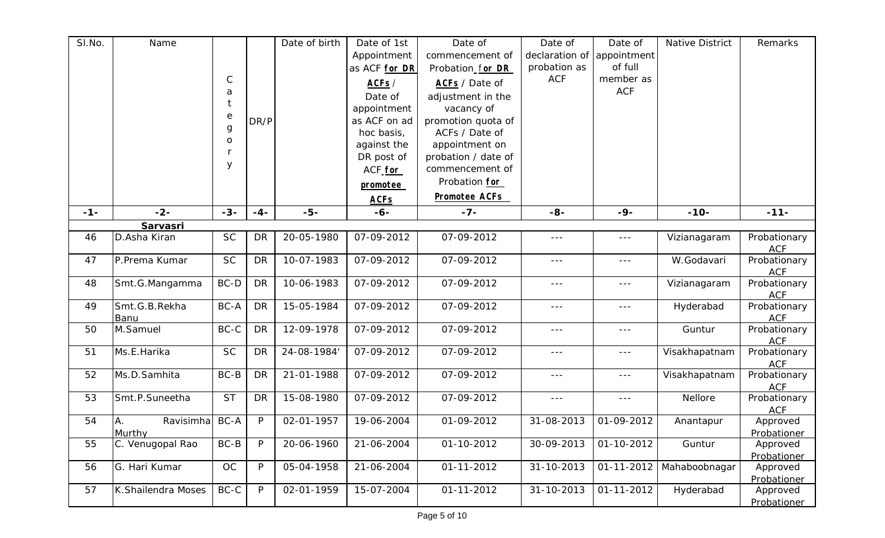| SI.No. | Name                 |             |           | Date of birth | Date of 1st               | Date of              | Date of              | Date of       | Native District | Remarks                    |
|--------|----------------------|-------------|-----------|---------------|---------------------------|----------------------|----------------------|---------------|-----------------|----------------------------|
|        |                      |             |           |               | Appointment               | commencement of      | declaration of       | appointment   |                 |                            |
|        |                      |             |           |               | as ACF for DR             | Probation_for DR     | probation as         | of full       |                 |                            |
|        |                      | $\mathsf C$ |           |               | ACFs /                    | ACFs / Date of       | <b>ACF</b>           | member as     |                 |                            |
|        |                      | a           |           |               | Date of                   | adjustment in the    |                      | <b>ACF</b>    |                 |                            |
|        |                      | $\ddagger$  |           |               | appointment               | vacancy of           |                      |               |                 |                            |
|        |                      | $\rm e$     | DR/P      |               | as ACF on ad              | promotion quota of   |                      |               |                 |                            |
|        |                      | $\mathsf g$ |           |               | hoc basis,                | ACFs / Date of       |                      |               |                 |                            |
|        |                      | O           |           |               |                           | appointment on       |                      |               |                 |                            |
|        |                      | r           |           |               | against the<br>DR post of | probation / date of  |                      |               |                 |                            |
|        |                      | y           |           |               |                           | commencement of      |                      |               |                 |                            |
|        |                      |             |           |               | ACF <sub>for</sub>        |                      |                      |               |                 |                            |
|        |                      |             |           |               | promotee                  | Probation for        |                      |               |                 |                            |
|        |                      |             |           |               | <b>ACFs</b>               | <b>Promotee ACFs</b> |                      |               |                 |                            |
| $-1-$  | $-2-$                | $-3-$       | $-4-$     | $-5-$         | $-6-$                     | $-7-$                | $-8-$                | $-9-$         | $-10-$          | $-11-$                     |
|        | Sarvasri             |             |           |               |                           |                      |                      |               |                 |                            |
| 46     | D.Asha Kiran         | <b>SC</b>   | <b>DR</b> | 20-05-1980    | 07-09-2012                | 07-09-2012           | $\sim$ $\sim$ $\sim$ | $\frac{1}{2}$ | Vizianagaram    | Probationary               |
|        |                      |             |           |               |                           |                      |                      |               |                 | <b>ACF</b>                 |
| 47     | P.Prema Kumar        | <b>SC</b>   | <b>DR</b> | 10-07-1983    | 07-09-2012                | 07-09-2012           | $\sim$ $\sim$ $\sim$ | $- - -$       | W.Godavari      | Probationary               |
|        |                      |             |           |               |                           |                      |                      |               |                 | <b>ACF</b>                 |
| 48     | Smt.G.Mangamma       | BC-D        | <b>DR</b> | 10-06-1983    | 07-09-2012                | 07-09-2012           | $- - -$              | $- - -$       | Vizianagaram    | Probationary               |
|        |                      |             |           |               |                           |                      |                      |               |                 | <b>ACF</b>                 |
| 49     | Smt.G.B.Rekha        | BC-A        | <b>DR</b> | 15-05-1984    | 07-09-2012                | 07-09-2012           | $\sim$ $\sim$ $\sim$ | $\frac{1}{2}$ | Hyderabad       | Probationary               |
| 50     | Banu<br>M.Samuel     | BC-C        | <b>DR</b> | 12-09-1978    | 07-09-2012                | 07-09-2012           | $\sim$ $\sim$ $\sim$ | ---           | Guntur          | <b>ACF</b><br>Probationary |
|        |                      |             |           |               |                           |                      |                      |               |                 | <b>ACF</b>                 |
| 51     | Ms.E.Harika          | <b>SC</b>   | <b>DR</b> | 24-08-1984    | 07-09-2012                | 07-09-2012           | $\sim$ $\sim$ $\sim$ | $\frac{1}{2}$ | Visakhapatnam   | Probationary               |
|        |                      |             |           |               |                           |                      |                      |               |                 | <b>ACF</b>                 |
| 52     | Ms.D.Samhita         | $BC-B$      | <b>DR</b> | 21-01-1988    | 07-09-2012                | 07-09-2012           | $\sim$ $\sim$ $\sim$ | $---$         | Visakhapatnam   | Probationary               |
|        |                      |             |           |               |                           |                      |                      |               |                 | <b>ACF</b>                 |
| 53     | Smt.P.Suneetha       | <b>ST</b>   | <b>DR</b> | 15-08-1980    | 07-09-2012                | 07-09-2012           | $  -$                | $- - -$       | Nellore         | Probationary               |
|        |                      |             |           |               |                           |                      |                      |               |                 | <b>ACF</b>                 |
| 54     | Ravisimha BC-A<br>Α. |             | P         | 02-01-1957    | 19-06-2004                | 01-09-2012           | 31-08-2013           | 01-09-2012    | Anantapur       | Approved                   |
|        | Murthy               |             |           |               |                           |                      |                      |               |                 | Probationer                |
| 55     | C. Venugopal Rao     | BC-B        | P         | 20-06-1960    | 21-06-2004                | 01-10-2012           | 30-09-2013           | 01-10-2012    | Guntur          | Approved                   |
|        |                      |             |           |               |                           |                      |                      |               |                 | Probationer                |
| 56     | G. Hari Kumar        | OC          | P         | 05-04-1958    | 21-06-2004                | 01-11-2012           | 31-10-2013           | 01-11-2012    | Mahaboobnagar   | Approved                   |
|        |                      |             |           |               |                           |                      |                      |               |                 | Probationer                |
| 57     | K.Shailendra Moses   | BC-C        | P         | 02-01-1959    | 15-07-2004                | 01-11-2012           | 31-10-2013           | 01-11-2012    | Hyderabad       | Approved                   |
|        |                      |             |           |               |                           |                      |                      |               |                 | Probationer                |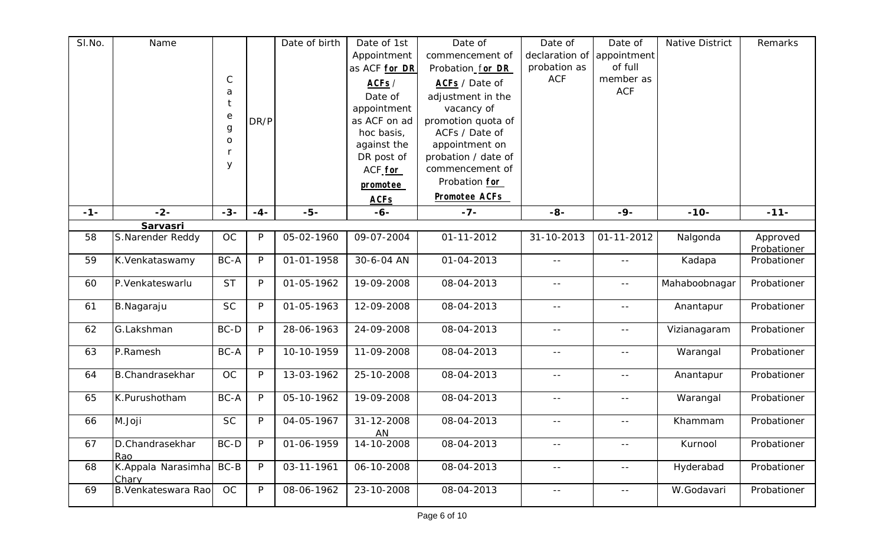| SI.No. | Name                        | $\mathsf C$<br>a<br>$\mathop{\mathrm{e}}$ | DR/P         | Date of birth | Date of 1st<br>Appointment<br>as ACF for DR<br>ACFs /<br>Date of<br>appointment<br>as ACF on ad | Date of<br>commencement of<br>Probation_for DR<br>ACFs / Date of<br>adjustment in the<br>vacancy of<br>promotion quota of | Date of<br>declaration of<br>probation as<br><b>ACF</b> | Date of<br>appointment<br>of full<br>member as<br><b>ACF</b> | <b>Native District</b> | Remarks                 |
|--------|-----------------------------|-------------------------------------------|--------------|---------------|-------------------------------------------------------------------------------------------------|---------------------------------------------------------------------------------------------------------------------------|---------------------------------------------------------|--------------------------------------------------------------|------------------------|-------------------------|
|        |                             | $\mathbf g$<br>$\mathsf{O}$<br>У          |              |               | hoc basis,<br>against the<br>DR post of<br>ACF <sub>for</sub><br>promotee<br><b>ACFs</b>        | ACFs / Date of<br>appointment on<br>probation / date of<br>commencement of<br>Probation for<br><b>Promotee ACFs</b>       |                                                         |                                                              |                        |                         |
| $-1-$  | $-2-$                       | $-3-$                                     | $-4-$        | $-5-$         | $-6-$                                                                                           | $-7-$                                                                                                                     | $-8-$                                                   | $-9-$                                                        | $-10-$                 | $-11-$                  |
|        | Sarvasri                    |                                           |              |               |                                                                                                 |                                                                                                                           |                                                         |                                                              |                        |                         |
| 58     | S.Narender Reddy            | <b>OC</b>                                 | $\mathsf{P}$ | 05-02-1960    | 09-07-2004                                                                                      | 01-11-2012                                                                                                                | 31-10-2013                                              | 01-11-2012                                                   | Nalgonda               | Approved<br>Probationer |
| 59     | K.Venkataswamy              | BC-A                                      | P            | 01-01-1958    | 30-6-04 AN                                                                                      | 01-04-2013                                                                                                                | $\sim$ $-$                                              | $-$                                                          | Kadapa                 | Probationer             |
| 60     | P.Venkateswarlu             | <b>ST</b>                                 | $\mathsf{P}$ | 01-05-1962    | 19-09-2008                                                                                      | 08-04-2013                                                                                                                | $ -$                                                    | $- -$                                                        | Mahaboobnagar          | Probationer             |
| 61     | B.Nagaraju                  | <b>SC</b>                                 | P            | 01-05-1963    | 12-09-2008                                                                                      | 08-04-2013                                                                                                                | $\sim$ $-$                                              | $\equiv$ $\equiv$                                            | Anantapur              | Probationer             |
| 62     | G.Lakshman                  | BC-D                                      | P            | 28-06-1963    | 24-09-2008                                                                                      | 08-04-2013                                                                                                                | $\rightarrow$ $\rightarrow$                             | $- -$                                                        | Vizianagaram           | Probationer             |
| 63     | P.Ramesh                    | BC-A                                      | $\mathsf{P}$ | 10-10-1959    | 11-09-2008                                                                                      | 08-04-2013                                                                                                                | $  \,$                                                  | $- -$                                                        | Warangal               | Probationer             |
| 64     | <b>B.Chandrasekhar</b>      | OC                                        | P            | 13-03-1962    | 25-10-2008                                                                                      | 08-04-2013                                                                                                                | $  \,$                                                  | $\sim$ $-$                                                   | Anantapur              | Probationer             |
| 65     | K.Purushotham               | BC-A                                      | P            | 05-10-1962    | 19-09-2008                                                                                      | 08-04-2013                                                                                                                | $  \,$                                                  | $\sim$ $\sim$                                                | Warangal               | Probationer             |
| 66     | M.Joji                      | <b>SC</b>                                 | P            | 04-05-1967    | 31-12-2008<br><b>AN</b>                                                                         | 08-04-2013                                                                                                                | $ -$                                                    | $- -$                                                        | Khammam                | Probationer             |
| 67     | D.Chandrasekhar<br>Rao      | BC-D                                      | P            | 01-06-1959    | 14-10-2008                                                                                      | 08-04-2013                                                                                                                | $  \,$                                                  | $- -$                                                        | Kurnool                | Probationer             |
| 68     | K.Appala Narasimha<br>Chary | BC-B                                      | P            | 03-11-1961    | 06-10-2008                                                                                      | 08-04-2013                                                                                                                | $ -$                                                    | $- -$                                                        | Hyderabad              | Probationer             |
| 69     | <b>B.Venkateswara Rao</b>   | OC                                        | P            | 08-06-1962    | 23-10-2008                                                                                      | 08-04-2013                                                                                                                | $\sim$ $-$                                              | $\sim$ $-$                                                   | W.Godavari             | Probationer             |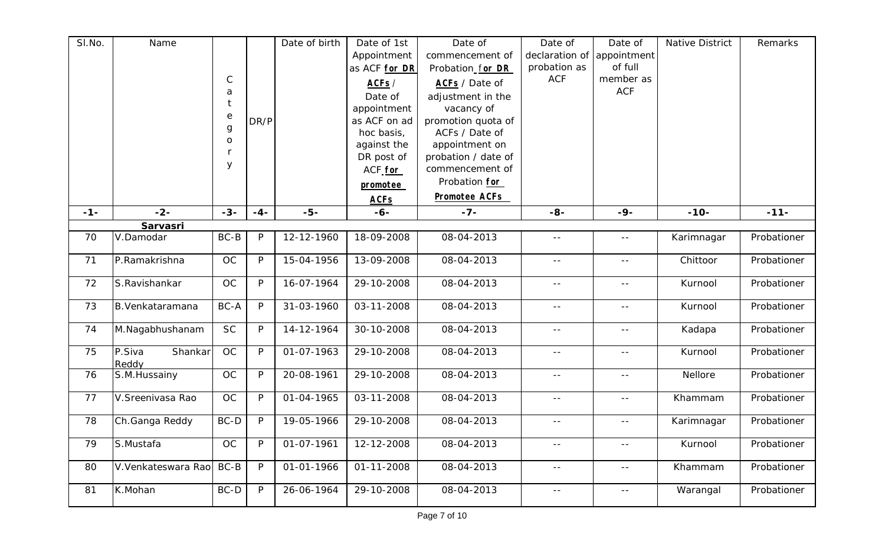| SI.No. | Name               |                       |              | Date of birth | Date of 1st   | Date of               | Date of           | Date of       | <b>Native District</b> | Remarks     |
|--------|--------------------|-----------------------|--------------|---------------|---------------|-----------------------|-------------------|---------------|------------------------|-------------|
|        |                    |                       |              |               | Appointment   | commencement of       | declaration of    | appointment   |                        |             |
|        |                    |                       |              |               | as ACF for DR | Probation for DR      | probation as      | of full       |                        |             |
|        |                    | $\mathsf C$           |              |               | ACFs /        | <b>ACFs</b> / Date of | <b>ACF</b>        | member as     |                        |             |
|        |                    | a                     |              |               | Date of       | adjustment in the     |                   | <b>ACF</b>    |                        |             |
|        |                    | t                     |              |               | appointment   | vacancy of            |                   |               |                        |             |
|        |                    | $\mathop{\mathrm{e}}$ | DR/P         |               | as ACF on ad  | promotion quota of    |                   |               |                        |             |
|        |                    | $\boldsymbol{g}$      |              |               | hoc basis,    | ACFs / Date of        |                   |               |                        |             |
|        |                    | $\mathsf O$           |              |               | against the   | appointment on        |                   |               |                        |             |
|        |                    |                       |              |               | DR post of    | probation / date of   |                   |               |                        |             |
|        |                    | y                     |              |               | ACF for       | commencement of       |                   |               |                        |             |
|        |                    |                       |              |               | promotee      | Probation for         |                   |               |                        |             |
|        |                    |                       |              |               | <b>ACFs</b>   | <b>Promotee ACFs</b>  |                   |               |                        |             |
| $-1-$  | $-2-$              | $-3-$                 | $-4-$        | $-5-$         | $-6-$         | $-7-$                 | $-8-$             | $-9-$         | $-10-$                 | $-11-$      |
|        | Sarvasri           |                       |              |               |               |                       |                   |               |                        |             |
| 70     | V.Damodar          | BC-B                  | P            | 12-12-1960    | 18-09-2008    | 08-04-2013            | $\sim$ $-$        | $- -$         | Karimnagar             | Probationer |
|        |                    |                       |              |               |               |                       |                   |               |                        |             |
| 71     | P.Ramakrishna      | OC                    | $\mathsf{P}$ | 15-04-1956    | 13-09-2008    | 08-04-2013            |                   | $- -$         | Chittoor               | Probationer |
| 72     | S.Ravishankar      | OC                    | P            | 16-07-1964    | 29-10-2008    | 08-04-2013            | $  \,$            | $\sim$ $-$    | Kurnool                | Probationer |
| 73     | B. Venkataramana   | BC-A                  | P            | 31-03-1960    | 03-11-2008    | 08-04-2013            |                   |               | Kurnool                | Probationer |
|        |                    |                       |              |               |               |                       | $  \,$            | $- -$         |                        |             |
| 74     | M.Nagabhushanam    | <b>SC</b>             | P            | 14-12-1964    | 30-10-2008    | 08-04-2013            | $\sim$ $-$        | $\sim$ $\sim$ | Kadapa                 | Probationer |
|        |                    |                       |              |               |               |                       |                   |               |                        |             |
| 75     | P.Siva<br>Shankar  | OC                    | P            | 01-07-1963    | 29-10-2008    | 08-04-2013            | $ -$              | $ -$          | Kurnool                | Probationer |
|        | Reddy              |                       |              |               |               |                       |                   |               |                        |             |
| 76     | S.M. Hussainy      | OC                    | P            | 20-08-1961    | 29-10-2008    | 08-04-2013            | $\sim$ $-$        | $\sim$ $-$    | Nellore                | Probationer |
| 77     | V.Sreenivasa Rao   | OC                    | P            | 01-04-1965    | 03-11-2008    | 08-04-2013            | $\equiv$ $\equiv$ | $- -$         | Khammam                | Probationer |
|        |                    |                       |              |               |               |                       |                   |               |                        |             |
| 78     | Ch.Ganga Reddy     | BC-D                  | P            | 19-05-1966    | 29-10-2008    | 08-04-2013            | $  \,$            | $\sim$ $-$    | Karimnagar             | Probationer |
| 79     | S.Mustafa          | <b>OC</b>             | $\mathsf{P}$ | 01-07-1961    | 12-12-2008    | 08-04-2013            | $\sim$ $-$        | $-$           | Kurnool                | Probationer |
|        |                    |                       |              |               |               |                       |                   |               |                        |             |
| 80     | V.Venkateswara Rao | BC-B                  | P            | 01-01-1966    | 01-11-2008    | 08-04-2013            | $ -$              | $\sim$ $-$    | Khammam                | Probationer |
| 81     | K.Mohan            | $BC-D$                | P            | 26-06-1964    | 29-10-2008    | 08-04-2013            | $\sim$ $-$        | $\sim$ $-$    | Warangal               | Probationer |
|        |                    |                       |              |               |               |                       |                   |               |                        |             |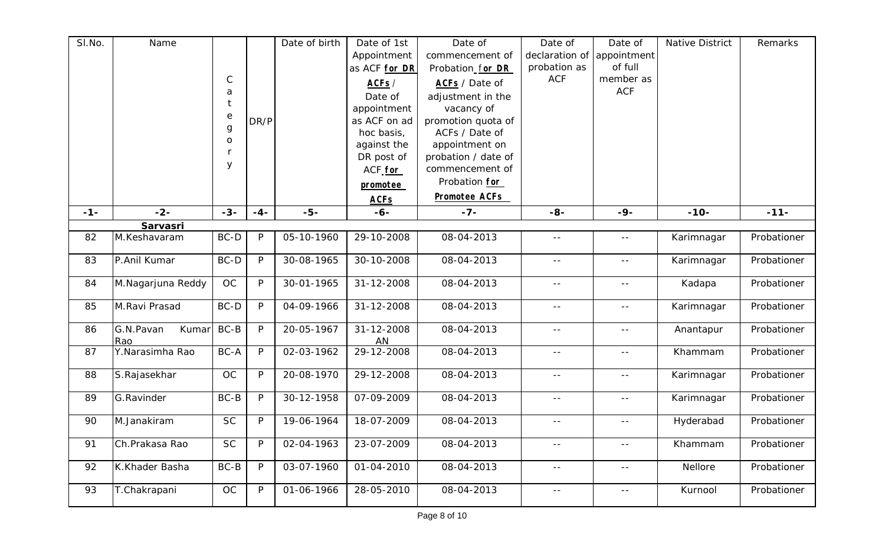| SI.No. | Name                     |                       |              | Date of birth | Date of 1st          | Date of              | Date of                     | Date of           | <b>Native District</b> | Remarks     |
|--------|--------------------------|-----------------------|--------------|---------------|----------------------|----------------------|-----------------------------|-------------------|------------------------|-------------|
|        |                          |                       |              |               | Appointment          | commencement of      | declaration of              | appointment       |                        |             |
|        |                          |                       |              |               | as ACF for DR        | Probation_for DR     | probation as                | of full           |                        |             |
|        |                          | $\mathsf C$           |              |               | ACFs /               | ACFs / Date of       | <b>ACF</b>                  | member as         |                        |             |
|        |                          | a                     |              |               | Date of              | adjustment in the    |                             | <b>ACF</b>        |                        |             |
|        |                          |                       |              |               | appointment          | vacancy of           |                             |                   |                        |             |
|        |                          | $\mathop{\mathrm{e}}$ | DR/P         |               | as ACF on ad         | promotion quota of   |                             |                   |                        |             |
|        |                          | $\mathbf g$           |              |               | hoc basis,           | ACFs / Date of       |                             |                   |                        |             |
|        |                          | $\mathsf{O}$          |              |               | against the          | appointment on       |                             |                   |                        |             |
|        |                          |                       |              |               | DR post of           | probation / date of  |                             |                   |                        |             |
|        |                          | У                     |              |               | ACF <sub>for</sub>   | commencement of      |                             |                   |                        |             |
|        |                          |                       |              |               | promotee             | Probation for        |                             |                   |                        |             |
|        |                          |                       |              |               |                      | <b>Promotee ACFs</b> |                             |                   |                        |             |
| $-1-$  | $-2-$                    | $-3-$                 | $-4-$        | $-5-$         | <b>ACFs</b><br>$-6-$ | $-7-$                | $-8-$                       | $-9-$             | $-10-$                 | $-11-$      |
|        |                          |                       |              |               |                      |                      |                             |                   |                        |             |
| 82     | Sarvasri<br>M.Keshavaram | BC-D                  | $\mathsf{P}$ | 05-10-1960    | 29-10-2008           | 08-04-2013           | $\sim$ $-$                  | $\sim$ $-$        | Karimnagar             | Probationer |
|        |                          |                       |              |               |                      |                      |                             |                   |                        |             |
| 83     | P.Anil Kumar             | BC-D                  | P            | 30-08-1965    | 30-10-2008           | 08-04-2013           | $\sim$ $-$                  | $-$               | Karimnagar             | Probationer |
|        |                          |                       |              |               |                      |                      |                             |                   |                        |             |
| 84     | M.Nagarjuna Reddy        | OC                    | P            | 30-01-1965    | 31-12-2008           | 08-04-2013           | $ -$                        | $-$               | Kadapa                 | Probationer |
| 85     | M.Ravi Prasad            | BC-D                  | P            | 04-09-1966    | 31-12-2008           | 08-04-2013           | $\sim$ $-$                  | $\equiv$ $\equiv$ | Karimnagar             | Probationer |
|        |                          |                       |              |               |                      |                      |                             |                   |                        |             |
| 86     | G.N.Pavan<br>Kumar       | BC-B                  | P            | 20-05-1967    | 31-12-2008           | 08-04-2013           | $\rightarrow$ $\rightarrow$ | $- -$             | Anantapur              | Probationer |
|        | Rao                      |                       |              |               | AN                   |                      |                             |                   |                        |             |
| 87     | Y.Narasimha Rao          | BC-A                  | $\mathsf{P}$ | 02-03-1962    | 29-12-2008           | 08-04-2013           | $  \,$                      | $- -$             | Khammam                | Probationer |
|        |                          |                       |              |               |                      |                      |                             |                   |                        |             |
| 88     | S.Rajasekhar             | OC                    | P            | 20-08-1970    | 29-12-2008           | 08-04-2013           | $  \,$                      | $- -$             | Karimnagar             | Probationer |
| 89     | G.Ravinder               | BC-B                  | P            | 30-12-1958    | 07-09-2009           | 08-04-2013           | $\frac{1}{2}$               | $\sim$ $\sim$     | Karimnagar             | Probationer |
|        |                          |                       |              |               |                      |                      |                             |                   |                        |             |
| 90     | M.Janakiram              | <b>SC</b>             | P            | 19-06-1964    | 18-07-2009           | 08-04-2013           | $- -$                       | $- -$             | Hyderabad              | Probationer |
|        |                          |                       |              |               |                      |                      |                             |                   |                        |             |
| 91     | Ch.Prakasa Rao           | <b>SC</b>             | P            | 02-04-1963    | 23-07-2009           | 08-04-2013           | $  \,$                      | $- -$             | Khammam                | Probationer |
|        |                          | $BC-B$                | P            |               |                      |                      |                             |                   |                        |             |
| 92     | K.Khader Basha           |                       |              | 03-07-1960    | 01-04-2010           | 08-04-2013           | $  \,$                      | $- -$             | Nellore                | Probationer |
| 93     | T.Chakrapani             | OC                    | P            | 01-06-1966    | 28-05-2010           | 08-04-2013           | $\sim$ $-$                  | $\sim$ $-$        | Kurnool                | Probationer |
|        |                          |                       |              |               |                      |                      |                             |                   |                        |             |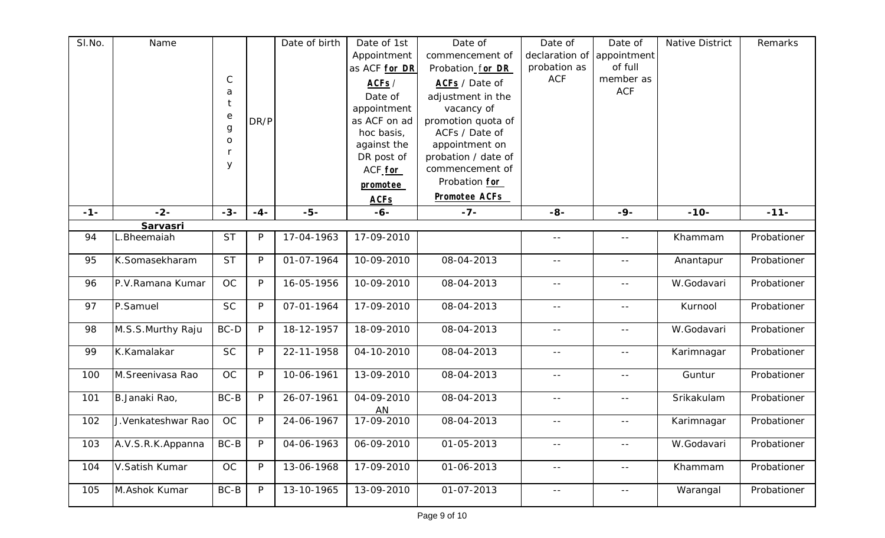| SI.No. | Name               |              |              | Date of birth | Date of 1st        | Date of              | Date of        | Date of                     | Native District | Remarks     |
|--------|--------------------|--------------|--------------|---------------|--------------------|----------------------|----------------|-----------------------------|-----------------|-------------|
|        |                    |              |              |               | Appointment        | commencement of      | declaration of | appointment                 |                 |             |
|        |                    |              |              |               | as ACF for DR      | Probation_for DR     | probation as   | of full                     |                 |             |
|        |                    | $\mathsf{C}$ |              |               | ACF <sub>S</sub> / | ACFs / Date of       | <b>ACF</b>     | member as                   |                 |             |
|        |                    | a            |              |               | Date of            | adjustment in the    |                | <b>ACF</b>                  |                 |             |
|        |                    |              |              |               | appointment        | vacancy of           |                |                             |                 |             |
|        |                    | $\rm e$      | DR/P         |               | as ACF on ad       | promotion quota of   |                |                             |                 |             |
|        |                    | $\mathsf g$  |              |               | hoc basis,         | ACFs / Date of       |                |                             |                 |             |
|        |                    | $\mathsf{O}$ |              |               | against the        | appointment on       |                |                             |                 |             |
|        |                    |              |              |               | DR post of         | probation / date of  |                |                             |                 |             |
|        |                    | У            |              |               | ACF <sub>for</sub> | commencement of      |                |                             |                 |             |
|        |                    |              |              |               | promotee           | Probation for        |                |                             |                 |             |
|        |                    |              |              |               | <b>ACFs</b>        | <b>Promotee ACFs</b> |                |                             |                 |             |
| $-1-$  | $-2-$              | $-3-$        | $-4-$        | $-5-$         | $-6-$              | $-7-$                | $-8-$          | $-9-$                       | $-10-$          | $-11-$      |
|        | Sarvasri           |              |              |               |                    |                      |                |                             |                 |             |
| 94     | .Bheemaiah         | <b>ST</b>    | P            | 17-04-1963    | 17-09-2010         |                      | $\sim$ $-$     | $\perp$ $\perp$             | Khammam         | Probationer |
|        |                    |              |              |               |                    |                      |                |                             |                 |             |
| 95     | K.Somasekharam     | <b>ST</b>    | P            | 01-07-1964    | 10-09-2010         | 08-04-2013           |                | $\equiv$ $\equiv$           | Anantapur       | Probationer |
| 96     | P.V.Ramana Kumar   | OC           | P            | 16-05-1956    | 10-09-2010         | 08-04-2013           | $\sim$ $-$     | $\sim$ $-$                  | W.Godavari      | Probationer |
|        |                    |              |              |               |                    |                      |                |                             |                 |             |
| 97     | P.Samuel           | <b>SC</b>    | P            | 07-01-1964    | 17-09-2010         | 08-04-2013           | $\sim$ $-$     | $\sim$ $-$                  | Kurnool         | Probationer |
|        |                    |              |              |               |                    |                      |                |                             |                 |             |
| 98     | M.S.S.Murthy Raju  | BC-D         | P            | 18-12-1957    | 18-09-2010         | 08-04-2013           | $\sim$ $-$     | $= -$                       | W.Godavari      | Probationer |
|        |                    |              |              |               |                    |                      |                |                             |                 |             |
| 99     | K.Kamalakar        | <b>SC</b>    | $\mathsf{P}$ | 22-11-1958    | 04-10-2010         | 08-04-2013           | $\sim$ $-$     | $ -$                        | Karimnagar      | Probationer |
| 100    | M. Sreenivasa Rao  | <b>OC</b>    | $\mathsf{P}$ | 10-06-1961    | 13-09-2010         | 08-04-2013           | $\sim$ $-$     | $\sim$ $-$                  | Guntur          | Probationer |
|        |                    |              |              |               |                    |                      |                |                             |                 |             |
| 101    | B.Janaki Rao,      | $BC-B$       | P            | 26-07-1961    | 04-09-2010         | 08-04-2013           | $- -$          | $ -$                        | Srikakulam      | Probationer |
|        |                    |              |              |               | AN                 |                      |                |                             |                 |             |
| 102    | J.Venkateshwar Rao | OC           | P            | 24-06-1967    | 17-09-2010         | 08-04-2013           | $  \,$         | $\rightarrow$ $\rightarrow$ | Karimnagar      | Probationer |
| 103    |                    | $BC-B$       | $\mathsf{P}$ |               | 06-09-2010         | 01-05-2013           |                |                             | W.Godavari      |             |
|        | A.V.S.R.K.Appanna  |              |              | 04-06-1963    |                    |                      | $\sim$ $-$     | $ -$                        |                 | Probationer |
| 104    | V.Satish Kumar     | $OC$         | P            | 13-06-1968    | 17-09-2010         | 01-06-2013           | $\sim$ $-$     | $ -$                        | Khammam         | Probationer |
|        |                    |              |              |               |                    |                      |                |                             |                 |             |
| 105    | M.Ashok Kumar      | $BC-B$       | P            | 13-10-1965    | 13-09-2010         | 01-07-2013           | $\sim$ $-$     | $\sim$ $\sim$               | Warangal        | Probationer |
|        |                    |              |              |               |                    |                      |                |                             |                 |             |